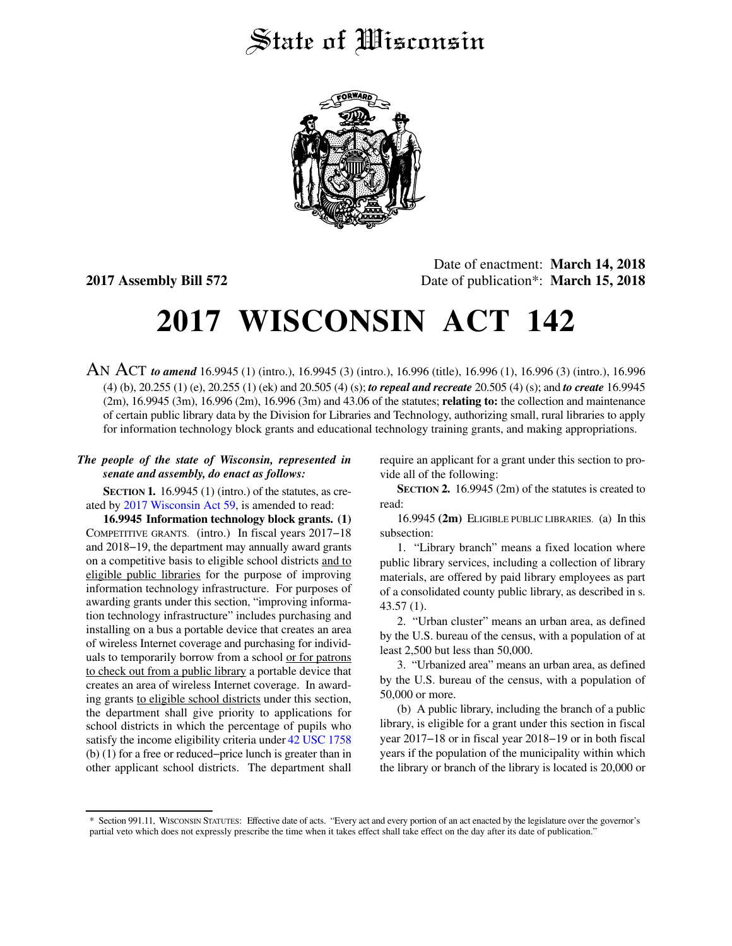## State of *Wisconsin*



Date of enactment: **March 14, 2018 2017 Assembly Bill 572** Date of publication\*: **March 15, 2018**

# **2017 WISCONSIN ACT 142**

AN ACT *to amend* 16.9945 (1) (intro.), 16.9945 (3) (intro.), 16.996 (title), 16.996 (1), 16.996 (3) (intro.), 16.996 (4) (b), 20.255 (1) (e), 20.255 (1) (ek) and 20.505 (4) (s); *to repeal and recreate* 20.505 (4) (s); and *to create* 16.9945 (2m), 16.9945 (3m), 16.996 (2m), 16.996 (3m) and 43.06 of the statutes; **relating to:** the collection and maintenance of certain public library data by the Division for Libraries and Technology, authorizing small, rural libraries to apply for information technology block grants and educational technology training grants, and making appropriations.

### *The people of the state of Wisconsin, represented in senate and assembly, do enact as follows:*

**SECTION 1.** 16.9945 (1) (intro.) of the statutes, as created by [2017 Wisconsin Act 59](https://docs.legis.wisconsin.gov/document/acts/2017/59), is amended to read:

**16.9945 Information technology block grants. (1)** COMPETITIVE GRANTS. (intro.) In fiscal years 2017−18 and 2018−19, the department may annually award grants on a competitive basis to eligible school districts and to eligible public libraries for the purpose of improving information technology infrastructure. For purposes of awarding grants under this section, "improving information technology infrastructure" includes purchasing and installing on a bus a portable device that creates an area of wireless Internet coverage and purchasing for individuals to temporarily borrow from a school or for patrons to check out from a public library a portable device that creates an area of wireless Internet coverage. In awarding grants to eligible school districts under this section, the department shall give priority to applications for school districts in which the percentage of pupils who satisfy the income eligibility criteria under [42 USC 1758](https://docs.legis.wisconsin.gov/document/usc/42%20USC%201758) (b) (1) for a free or reduced−price lunch is greater than in other applicant school districts. The department shall

require an applicant for a grant under this section to provide all of the following:

**SECTION 2.** 16.9945 (2m) of the statutes is created to read:

16.9945 **(2m)** ELIGIBLE PUBLIC LIBRARIES. (a) In this subsection:

1. "Library branch" means a fixed location where public library services, including a collection of library materials, are offered by paid library employees as part of a consolidated county public library, as described in s. 43.57 (1).

2. "Urban cluster" means an urban area, as defined by the U.S. bureau of the census, with a population of at least 2,500 but less than 50,000.

3. "Urbanized area" means an urban area, as defined by the U.S. bureau of the census, with a population of 50,000 or more.

(b) A public library, including the branch of a public library, is eligible for a grant under this section in fiscal year 2017−18 or in fiscal year 2018−19 or in both fiscal years if the population of the municipality within which the library or branch of the library is located is 20,000 or

<sup>\*</sup> Section 991.11, WISCONSIN STATUTES: Effective date of acts. "Every act and every portion of an act enacted by the legislature over the governor's partial veto which does not expressly prescribe the time when it takes effect shall take effect on the day after its date of publication."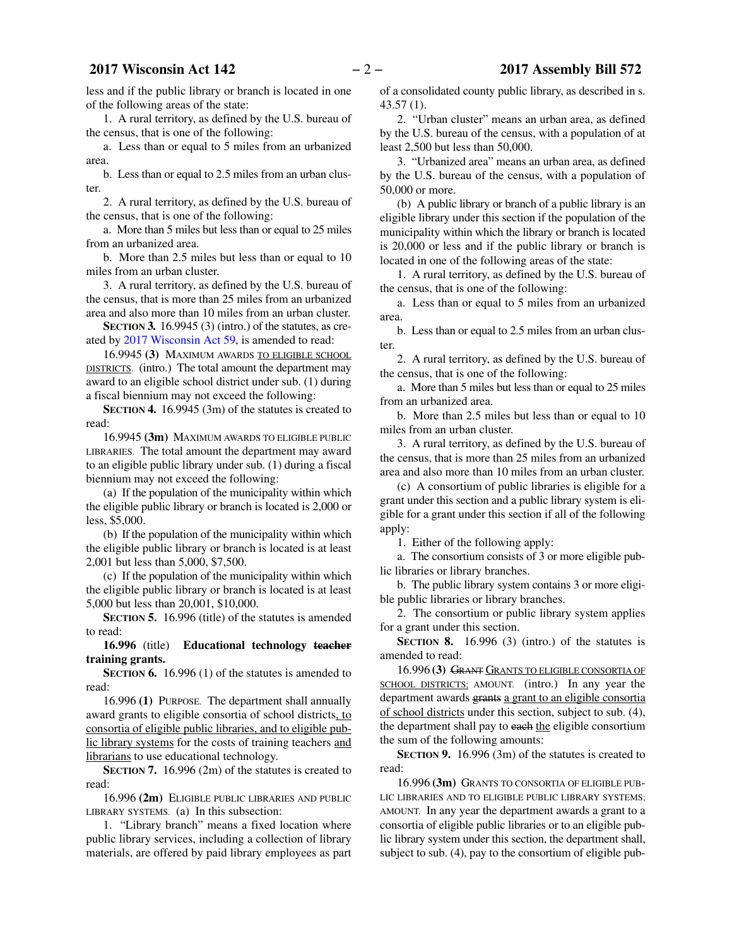### **2017 Wisconsin Act 142** − 2 − 2017 Assembly Bill 572

less and if the public library or branch is located in one of the following areas of the state:

1. A rural territory, as defined by the U.S. bureau of the census, that is one of the following:

a. Less than or equal to 5 miles from an urbanized area.

b. Less than or equal to 2.5 miles from an urban cluster.

2. A rural territory, as defined by the U.S. bureau of the census, that is one of the following:

a. More than 5 miles but less than or equal to 25 miles from an urbanized area.

b. More than 2.5 miles but less than or equal to 10 miles from an urban cluster.

3. A rural territory, as defined by the U.S. bureau of the census, that is more than 25 miles from an urbanized area and also more than 10 miles from an urban cluster.

**SECTION 3.** 16.9945 (3) (intro.) of the statutes, as created by [2017 Wisconsin Act 59](https://docs.legis.wisconsin.gov/document/acts/2017/59), is amended to read:

16.9945 **(3)** MAXIMUM AWARDS TO ELIGIBLE SCHOOL DISTRICTS. (intro.) The total amount the department may award to an eligible school district under sub. (1) during a fiscal biennium may not exceed the following:

**SECTION 4.** 16.9945 (3m) of the statutes is created to read:

16.9945 **(3m)** MAXIMUM AWARDS TO ELIGIBLE PUBLIC LIBRARIES. The total amount the department may award to an eligible public library under sub. (1) during a fiscal biennium may not exceed the following:

(a) If the population of the municipality within which the eligible public library or branch is located is 2,000 or less, \$5,000.

(b) If the population of the municipality within which the eligible public library or branch is located is at least 2,001 but less than 5,000, \$7,500.

(c) If the population of the municipality within which the eligible public library or branch is located is at least 5,000 but less than 20,001, \$10,000.

**SECTION 5.** 16.996 (title) of the statutes is amended to read:

**16.996** (title) **Educational technology teacher training grants.**

**SECTION 6.** 16.996 (1) of the statutes is amended to read:

16.996 **(1)** PURPOSE. The department shall annually award grants to eligible consortia of school districts, to consortia of eligible public libraries, and to eligible public library systems for the costs of training teachers and librarians to use educational technology.

**SECTION 7.** 16.996 (2m) of the statutes is created to read:

16.996 **(2m)** ELIGIBLE PUBLIC LIBRARIES AND PUBLIC LIBRARY SYSTEMS. (a) In this subsection:

1. "Library branch" means a fixed location where public library services, including a collection of library materials, are offered by paid library employees as part of a consolidated county public library, as described in s. 43.57 (1).

2. "Urban cluster" means an urban area, as defined by the U.S. bureau of the census, with a population of at least 2,500 but less than 50,000.

3. "Urbanized area" means an urban area, as defined by the U.S. bureau of the census, with a population of 50,000 or more.

(b) A public library or branch of a public library is an eligible library under this section if the population of the municipality within which the library or branch is located is 20,000 or less and if the public library or branch is located in one of the following areas of the state:

1. A rural territory, as defined by the U.S. bureau of the census, that is one of the following:

a. Less than or equal to 5 miles from an urbanized area.

b. Less than or equal to 2.5 miles from an urban cluster.

2. A rural territory, as defined by the U.S. bureau of the census, that is one of the following:

a. More than 5 miles but less than or equal to 25 miles from an urbanized area.

b. More than 2.5 miles but less than or equal to 10 miles from an urban cluster.

3. A rural territory, as defined by the U.S. bureau of the census, that is more than 25 miles from an urbanized area and also more than 10 miles from an urban cluster.

(c) A consortium of public libraries is eligible for a grant under this section and a public library system is eligible for a grant under this section if all of the following apply:

1. Either of the following apply:

a. The consortium consists of 3 or more eligible public libraries or library branches.

b. The public library system contains 3 or more eligible public libraries or library branches.

2. The consortium or public library system applies for a grant under this section.

**SECTION 8.** 16.996 (3) (intro.) of the statutes is amended to read:

16.996 **(3)** GRANT GRANTS TO ELIGIBLE CONSORTIA OF SCHOOL DISTRICTS: AMOUNT. (intro.) In any year the department awards grants a grant to an eligible consortia of school districts under this section, subject to sub. (4), the department shall pay to each the eligible consortium the sum of the following amounts:

**SECTION 9.** 16.996 (3m) of the statutes is created to read:

16.996 **(3m)** GRANTS TO CONSORTIA OF ELIGIBLE PUB-LIC LIBRARIES AND TO ELIGIBLE PUBLIC LIBRARY SYSTEMS; AMOUNT. In any year the department awards a grant to a consortia of eligible public libraries or to an eligible public library system under this section, the department shall, subject to sub. (4), pay to the consortium of eligible pub-